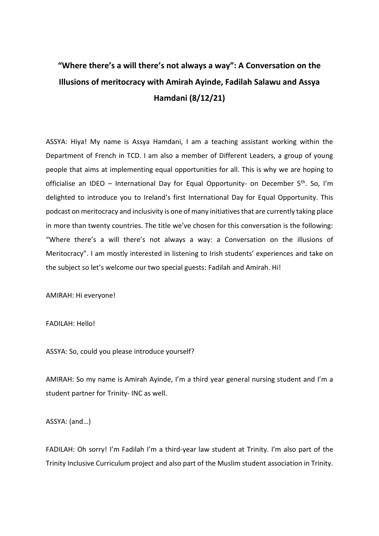## **"Where there's a will there's not always a way": A Conversation on the Illusions of meritocracy with Amirah Ayinde, Fadilah Salawu and Assya Hamdani (8/12/21)**

ASSYA: Hiya! My name is Assya Hamdani, I am a teaching assistant working within the Department of French in TCD. I am also a member of Different Leaders, a group of young people that aims at implementing equal opportunities for all. This is why we are hoping to officialise an IDEO – International Day for Equal Opportunity- on December  $5<sup>th</sup>$ . So, I'm delighted to introduce you to Ireland's first International Day for Equal Opportunity. This podcast on meritocracy and inclusivity is one of many initiatives that are currently taking place in more than twenty countries. The title we've chosen for this conversation is the following: "Where there's a will there's not always a way: a Conversation on the illusions of Meritocracy". I am mostly interested in listening to Irish students' experiences and take on the subject so let's welcome our two special guests: Fadilah and Amirah. Hi!

AMIRAH: Hi everyone!

FADILAH: Hello!

ASSYA: So, could you please introduce yourself?

AMIRAH: So my name is Amirah Ayinde, I'm a third year general nursing student and I'm a student partner for Trinity- INC as well.

ASSYA: (and…)

FADILAH: Oh sorry! I'm Fadilah I'm a third-year law student at Trinity. I'm also part of the Trinity Inclusive Curriculum project and also part of the Muslim student association in Trinity.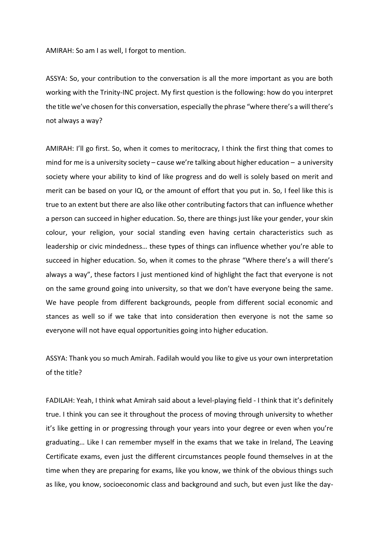AMIRAH: So am I as well, I forgot to mention.

ASSYA: So, your contribution to the conversation is all the more important as you are both working with the Trinity-INC project. My first question is the following: how do you interpret the title we've chosen for this conversation, especially the phrase "where there's a will there's not always a way?

AMIRAH: I'll go first. So, when it comes to meritocracy, I think the first thing that comes to mind for me is a university society – cause we're talking about higher education – a university society where your ability to kind of like progress and do well is solely based on merit and merit can be based on your IQ, or the amount of effort that you put in. So, I feel like this is true to an extent but there are also like other contributing factors that can influence whether a person can succeed in higher education. So, there are things just like your gender, your skin colour, your religion, your social standing even having certain characteristics such as leadership or civic mindedness… these types of things can influence whether you're able to succeed in higher education. So, when it comes to the phrase "Where there's a will there's always a way", these factors I just mentioned kind of highlight the fact that everyone is not on the same ground going into university, so that we don't have everyone being the same. We have people from different backgrounds, people from different social economic and stances as well so if we take that into consideration then everyone is not the same so everyone will not have equal opportunities going into higher education.

ASSYA: Thank you so much Amirah. Fadilah would you like to give us your own interpretation of the title?

FADILAH: Yeah, I think what Amirah said about a level-playing field - I think that it's definitely true. I think you can see it throughout the process of moving through university to whether it's like getting in or progressing through your years into your degree or even when you're graduating… Like I can remember myself in the exams that we take in Ireland, The Leaving Certificate exams, even just the different circumstances people found themselves in at the time when they are preparing for exams, like you know, we think of the obvious things such as like, you know, socioeconomic class and background and such, but even just like the day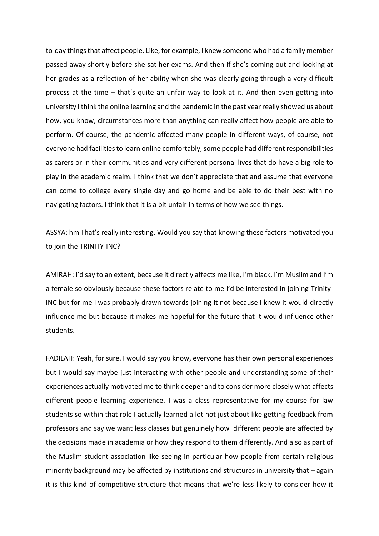to-day things that affect people. Like, for example, I knew someone who had a family member passed away shortly before she sat her exams. And then if she's coming out and looking at her grades as a reflection of her ability when she was clearly going through a very difficult process at the time – that's quite an unfair way to look at it. And then even getting into university I think the online learning and the pandemic in the past year really showed us about how, you know, circumstances more than anything can really affect how people are able to perform. Of course, the pandemic affected many people in different ways, of course, not everyone had facilities to learn online comfortably, some people had different responsibilities as carers or in their communities and very different personal lives that do have a big role to play in the academic realm. I think that we don't appreciate that and assume that everyone can come to college every single day and go home and be able to do their best with no navigating factors. I think that it is a bit unfair in terms of how we see things.

ASSYA: hm That's really interesting. Would you say that knowing these factors motivated you to join the TRINITY-INC?

AMIRAH: I'd say to an extent, because it directly affects me like, I'm black, I'm Muslim and I'm a female so obviously because these factors relate to me I'd be interested in joining Trinity-INC but for me I was probably drawn towards joining it not because I knew it would directly influence me but because it makes me hopeful for the future that it would influence other students.

FADILAH: Yeah, for sure. I would say you know, everyone has their own personal experiences but I would say maybe just interacting with other people and understanding some of their experiences actually motivated me to think deeper and to consider more closely what affects different people learning experience. I was a class representative for my course for law students so within that role I actually learned a lot not just about like getting feedback from professors and say we want less classes but genuinely how different people are affected by the decisions made in academia or how they respond to them differently. And also as part of the Muslim student association like seeing in particular how people from certain religious minority background may be affected by institutions and structures in university that – again it is this kind of competitive structure that means that we're less likely to consider how it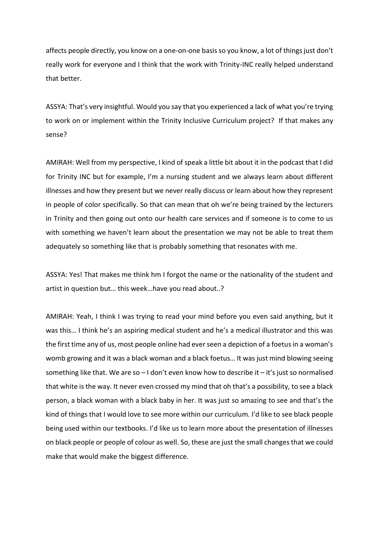affects people directly, you know on a one-on-one basis so you know, a lot of things just don't really work for everyone and I think that the work with Trinity-INC really helped understand that better.

ASSYA: That's very insightful. Would you say that you experienced a lack of what you're trying to work on or implement within the Trinity Inclusive Curriculum project? If that makes any sense?

AMIRAH: Well from my perspective, I kind of speak a little bit about it in the podcast that I did for Trinity INC but for example, I'm a nursing student and we always learn about different illnesses and how they present but we never really discuss or learn about how they represent in people of color specifically. So that can mean that oh we're being trained by the lecturers in Trinity and then going out onto our health care services and if someone is to come to us with something we haven't learn about the presentation we may not be able to treat them adequately so something like that is probably something that resonates with me.

ASSYA: Yes! That makes me think hm I forgot the name or the nationality of the student and artist in question but… this week…have you read about..?

AMIRAH: Yeah, I think I was trying to read your mind before you even said anything, but it was this… I think he's an aspiring medical student and he's a medical illustrator and this was the first time any of us, most people online had ever seen a depiction of a foetus in a woman's womb growing and it was a black woman and a black foetus… It was just mind blowing seeing something like that. We are so – I don't even know how to describe it – it's just so normalised that white is the way. It never even crossed my mind that oh that's a possibility, to see a black person, a black woman with a black baby in her. It was just so amazing to see and that's the kind of things that I would love to see more within our curriculum. I'd like to see black people being used within our textbooks. I'd like us to learn more about the presentation of illnesses on black people or people of colour as well. So, these are just the small changes that we could make that would make the biggest difference.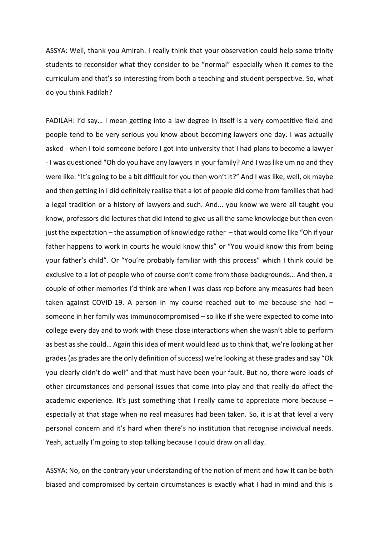ASSYA: Well, thank you Amirah. I really think that your observation could help some trinity students to reconsider what they consider to be "normal" especially when it comes to the curriculum and that's so interesting from both a teaching and student perspective. So, what do you think Fadilah?

FADILAH: I'd say… I mean getting into a law degree in itself is a very competitive field and people tend to be very serious you know about becoming lawyers one day. I was actually asked - when I told someone before I got into university that I had plans to become a lawyer - I was questioned "Oh do you have any lawyers in your family? And I was like um no and they were like: "It's going to be a bit difficult for you then won't it?" And I was like, well, ok maybe and then getting in I did definitely realise that a lot of people did come from families that had a legal tradition or a history of lawyers and such. And... you know we were all taught you know, professors did lectures that did intend to give us all the same knowledge but then even just the expectation – the assumption of knowledge rather – that would come like "Oh if your father happens to work in courts he would know this" or "You would know this from being your father's child". Or "You're probably familiar with this process" which I think could be exclusive to a lot of people who of course don't come from those backgrounds… And then, a couple of other memories I'd think are when I was class rep before any measures had been taken against COVID-19. A person in my course reached out to me because she had – someone in her family was immunocompromised – so like if she were expected to come into college every day and to work with these close interactions when she wasn't able to perform as best as she could… Again this idea of merit would lead us to think that, we're looking at her grades(as grades are the only definition of success) we're looking at these grades and say "Ok you clearly didn't do well" and that must have been your fault. But no, there were loads of other circumstances and personal issues that come into play and that really do affect the academic experience. It's just something that I really came to appreciate more because  $$ especially at that stage when no real measures had been taken. So, it is at that level a very personal concern and it's hard when there's no institution that recognise individual needs. Yeah, actually I'm going to stop talking because I could draw on all day.

ASSYA: No, on the contrary your understanding of the notion of merit and how It can be both biased and compromised by certain circumstances is exactly what I had in mind and this is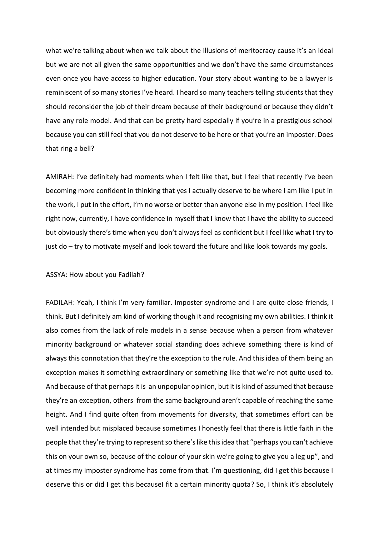what we're talking about when we talk about the illusions of meritocracy cause it's an ideal but we are not all given the same opportunities and we don't have the same circumstances even once you have access to higher education. Your story about wanting to be a lawyer is reminiscent of so many stories I've heard. I heard so many teachers telling students that they should reconsider the job of their dream because of their background or because they didn't have any role model. And that can be pretty hard especially if you're in a prestigious school because you can still feel that you do not deserve to be here or that you're an imposter. Does that ring a bell?

AMIRAH: I've definitely had moments when I felt like that, but I feel that recently I've been becoming more confident in thinking that yes I actually deserve to be where I am like I put in the work, I put in the effort, I'm no worse or better than anyone else in my position. I feel like right now, currently, I have confidence in myself that I know that I have the ability to succeed but obviously there's time when you don't always feel as confident but I feel like what I try to just do – try to motivate myself and look toward the future and like look towards my goals.

## ASSYA: How about you Fadilah?

FADILAH: Yeah, I think I'm very familiar. Imposter syndrome and I are quite close friends, I think. But I definitely am kind of working though it and recognising my own abilities. I think it also comes from the lack of role models in a sense because when a person from whatever minority background or whatever social standing does achieve something there is kind of always this connotation that they're the exception to the rule. And this idea of them being an exception makes it something extraordinary or something like that we're not quite used to. And because of that perhaps it is an unpopular opinion, but it is kind of assumed that because they're an exception, others from the same background aren't capable of reaching the same height. And I find quite often from movements for diversity, that sometimes effort can be well intended but misplaced because sometimes I honestly feel that there is little faith in the people that they're trying to represent so there's like this idea that "perhaps you can't achieve this on your own so, because of the colour of your skin we're going to give you a leg up", and at times my imposter syndrome has come from that. I'm questioning, did I get this because I deserve this or did I get this becauseI fit a certain minority quota? So, I think it's absolutely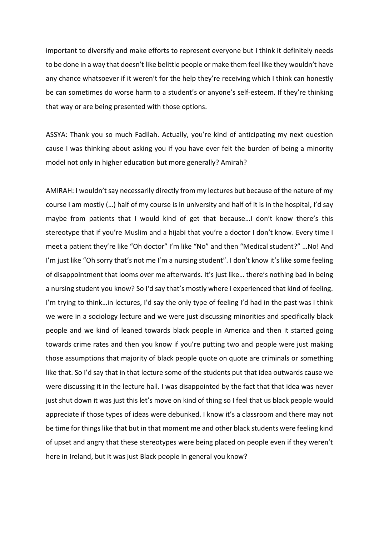important to diversify and make efforts to represent everyone but I think it definitely needs to be done in a way that doesn't like belittle people or make them feel like they wouldn't have any chance whatsoever if it weren't for the help they're receiving which I think can honestly be can sometimes do worse harm to a student's or anyone's self-esteem. If they're thinking that way or are being presented with those options.

ASSYA: Thank you so much Fadilah. Actually, you're kind of anticipating my next question cause I was thinking about asking you if you have ever felt the burden of being a minority model not only in higher education but more generally? Amirah?

AMIRAH: I wouldn't say necessarily directly from my lectures but because of the nature of my course I am mostly (…) half of my course is in university and half of it is in the hospital, I'd say maybe from patients that I would kind of get that because…I don't know there's this stereotype that if you're Muslim and a hijabi that you're a doctor I don't know. Every time I meet a patient they're like "Oh doctor" I'm like "No" and then "Medical student?" …No! And I'm just like "Oh sorry that's not me I'm a nursing student". I don't know it's like some feeling of disappointment that looms over me afterwards. It's just like… there's nothing bad in being a nursing student you know? So I'd say that's mostly where I experienced that kind of feeling. I'm trying to think...in lectures, I'd say the only type of feeling I'd had in the past was I think we were in a sociology lecture and we were just discussing minorities and specifically black people and we kind of leaned towards black people in America and then it started going towards crime rates and then you know if you're putting two and people were just making those assumptions that majority of black people quote on quote are criminals or something like that. So I'd say that in that lecture some of the students put that idea outwards cause we were discussing it in the lecture hall. I was disappointed by the fact that that idea was never just shut down it was just this let's move on kind of thing so I feel that us black people would appreciate if those types of ideas were debunked. I know it's a classroom and there may not be time for things like that but in that moment me and other black students were feeling kind of upset and angry that these stereotypes were being placed on people even if they weren't here in Ireland, but it was just Black people in general you know?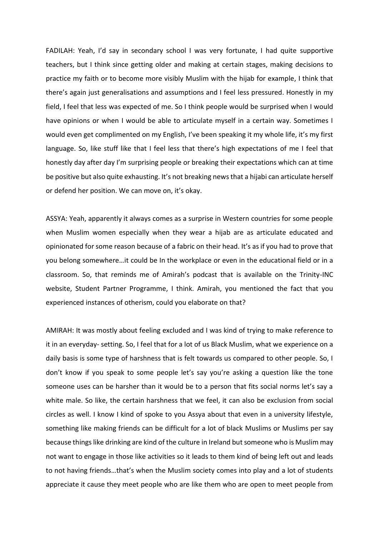FADILAH: Yeah, I'd say in secondary school I was very fortunate, I had quite supportive teachers, but I think since getting older and making at certain stages, making decisions to practice my faith or to become more visibly Muslim with the hijab for example, I think that there's again just generalisations and assumptions and I feel less pressured. Honestly in my field, I feel that less was expected of me. So I think people would be surprised when I would have opinions or when I would be able to articulate myself in a certain way. Sometimes I would even get complimented on my English, I've been speaking it my whole life, it's my first language. So, like stuff like that I feel less that there's high expectations of me I feel that honestly day after day I'm surprising people or breaking their expectations which can at time be positive but also quite exhausting. It's not breaking news that a hijabi can articulate herself or defend her position. We can move on, it's okay.

ASSYA: Yeah, apparently it always comes as a surprise in Western countries for some people when Muslim women especially when they wear a hijab are as articulate educated and opinionated for some reason because of a fabric on their head. It's as if you had to prove that you belong somewhere…it could be In the workplace or even in the educational field or in a classroom. So, that reminds me of Amirah's podcast that is available on the Trinity-INC website, Student Partner Programme, I think. Amirah, you mentioned the fact that you experienced instances of otherism, could you elaborate on that?

AMIRAH: It was mostly about feeling excluded and I was kind of trying to make reference to it in an everyday- setting. So, I feel that for a lot of us Black Muslim, what we experience on a daily basis is some type of harshness that is felt towards us compared to other people. So, I don't know if you speak to some people let's say you're asking a question like the tone someone uses can be harsher than it would be to a person that fits social norms let's say a white male. So like, the certain harshness that we feel, it can also be exclusion from social circles as well. I know I kind of spoke to you Assya about that even in a university lifestyle, something like making friends can be difficult for a lot of black Muslims or Muslims per say because things like drinking are kind of the culture in Ireland but someone who is Muslim may not want to engage in those like activities so it leads to them kind of being left out and leads to not having friends…that's when the Muslim society comes into play and a lot of students appreciate it cause they meet people who are like them who are open to meet people from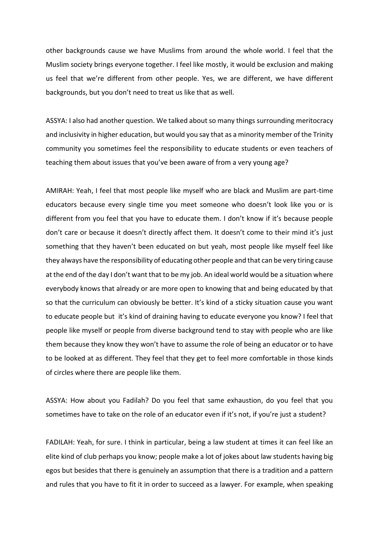other backgrounds cause we have Muslims from around the whole world. I feel that the Muslim society brings everyone together. I feel like mostly, it would be exclusion and making us feel that we're different from other people. Yes, we are different, we have different backgrounds, but you don't need to treat us like that as well.

ASSYA: I also had another question. We talked about so many things surrounding meritocracy and inclusivity in higher education, but would you say that as a minority member of the Trinity community you sometimes feel the responsibility to educate students or even teachers of teaching them about issues that you've been aware of from a very young age?

AMIRAH: Yeah, I feel that most people like myself who are black and Muslim are part-time educators because every single time you meet someone who doesn't look like you or is different from you feel that you have to educate them. I don't know if it's because people don't care or because it doesn't directly affect them. It doesn't come to their mind it's just something that they haven't been educated on but yeah, most people like myself feel like they always have the responsibility of educating other people and that can be very tiring cause at the end of the day I don't want that to be my job. An ideal world would be a situation where everybody knows that already or are more open to knowing that and being educated by that so that the curriculum can obviously be better. It's kind of a sticky situation cause you want to educate people but it's kind of draining having to educate everyone you know? I feel that people like myself or people from diverse background tend to stay with people who are like them because they know they won't have to assume the role of being an educator or to have to be looked at as different. They feel that they get to feel more comfortable in those kinds of circles where there are people like them.

ASSYA: How about you Fadilah? Do you feel that same exhaustion, do you feel that you sometimes have to take on the role of an educator even if it's not, if you're just a student?

FADILAH: Yeah, for sure. I think in particular, being a law student at times it can feel like an elite kind of club perhaps you know; people make a lot of jokes about law students having big egos but besides that there is genuinely an assumption that there is a tradition and a pattern and rules that you have to fit it in order to succeed as a lawyer. For example, when speaking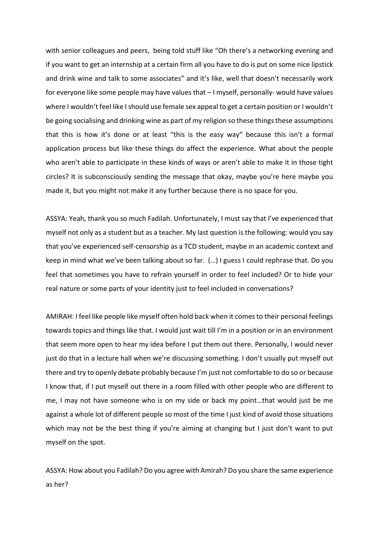with senior colleagues and peers, being told stuff like "Oh there's a networking evening and if you want to get an internship at a certain firm all you have to do is put on some nice lipstick and drink wine and talk to some associates" and it's like, well that doesn't necessarily work for everyone like some people may have values that – I myself, personally- would have values where I wouldn't feel like I should use female sex appeal to get a certain position or I wouldn't be going socialising and drinking wine as part of my religion so these things these assumptions that this is how it's done or at least "this is the easy way" because this isn't a formal application process but like these things do affect the experience. What about the people who aren't able to participate in these kinds of ways or aren't able to make it in those tight circles? It is subconsciously sending the message that okay, maybe you're here maybe you made it, but you might not make it any further because there is no space for you.

ASSYA: Yeah, thank you so much Fadilah. Unfortunately, I must say that I've experienced that myself not only as a student but as a teacher. My last question is the following: would you say that you've experienced self-censorship as a TCD student, maybe in an academic context and keep in mind what we've been talking about so far. (…) I guess I could rephrase that. Do you feel that sometimes you have to refrain yourself in order to feel included? Or to hide your real nature or some parts of your identity just to feel included in conversations?

AMIRAH: I feel like people like myself often hold back when it comes to their personal feelings towards topics and things like that. I would just wait till I'm in a position or in an environment that seem more open to hear my idea before I put them out there. Personally, I would never just do that in a lecture hall when we're discussing something. I don't usually put myself out there and try to openly debate probably because I'm just not comfortable to do so or because I know that, if I put myself out there in a room filled with other people who are different to me, I may not have someone who is on my side or back my point…that would just be me against a whole lot of different people so most of the time I just kind of avoid those situations which may not be the best thing if you're aiming at changing but I just don't want to put myself on the spot.

ASSYA: How about you Fadilah? Do you agree with Amirah? Do you share the same experience as her?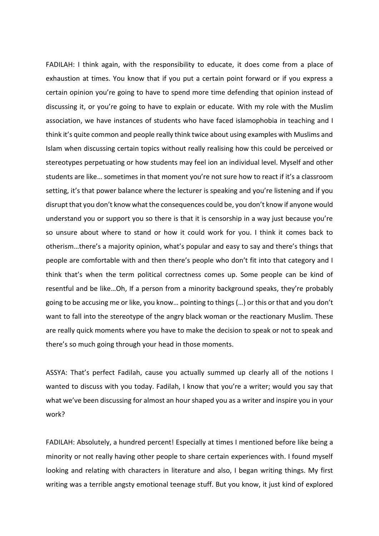FADILAH: I think again, with the responsibility to educate, it does come from a place of exhaustion at times. You know that if you put a certain point forward or if you express a certain opinion you're going to have to spend more time defending that opinion instead of discussing it, or you're going to have to explain or educate. With my role with the Muslim association, we have instances of students who have faced islamophobia in teaching and I think it's quite common and people really think twice about using examples with Muslims and Islam when discussing certain topics without really realising how this could be perceived or stereotypes perpetuating or how students may feel ion an individual level. Myself and other students are like… sometimes in that moment you're not sure how to react if it's a classroom setting, it's that power balance where the lecturer is speaking and you're listening and if you disrupt that you don't know what the consequences could be, you don't know if anyone would understand you or support you so there is that it is censorship in a way just because you're so unsure about where to stand or how it could work for you. I think it comes back to otherism…there's a majority opinion, what's popular and easy to say and there's things that people are comfortable with and then there's people who don't fit into that category and I think that's when the term political correctness comes up. Some people can be kind of resentful and be like…Oh, If a person from a minority background speaks, they're probably going to be accusing me or like, you know… pointing to things (…) or this or that and you don't want to fall into the stereotype of the angry black woman or the reactionary Muslim. These are really quick moments where you have to make the decision to speak or not to speak and there's so much going through your head in those moments.

ASSYA: That's perfect Fadilah, cause you actually summed up clearly all of the notions I wanted to discuss with you today. Fadilah, I know that you're a writer; would you say that what we've been discussing for almost an hour shaped you as a writer and inspire you in your work?

FADILAH: Absolutely, a hundred percent! Especially at times I mentioned before like being a minority or not really having other people to share certain experiences with. I found myself looking and relating with characters in literature and also, I began writing things. My first writing was a terrible angsty emotional teenage stuff. But you know, it just kind of explored